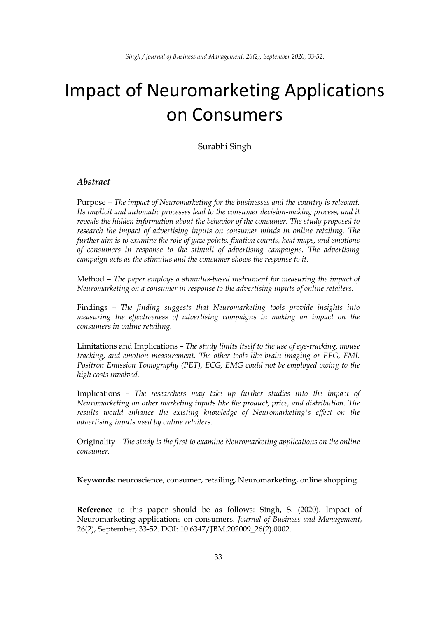# Impact of Neuromarketing Applications on Consumers

Surabhi Singh

### *Abstract*

Purpose *– The impact of Neuromarketing for the businesses and the country is relevant. Its implicit and automatic processes lead to the consumer decision-making process, and it reveals the hidden information about the behavior of the consumer. The study proposed to research the impact of advertising inputs on consumer minds in online retailing. The further aim is to examine the role of gaze points, fixation counts, heat maps, and emotions of consumers in response to the stimuli of advertising campaigns. The advertising campaign acts as the stimulus and the consumer shows the response to it.* 

Method *– The paper employs a stimulus-based instrument for measuring the impact of Neuromarketing on a consumer in response to the advertising inputs of online retailers.* 

Findings *– The finding suggests that Neuromarketing tools provide insights into measuring the effectiveness of advertising campaigns in making an impact on the consumers in online retailing.* 

Limitations and Implications *– The study limits itself to the use of eye-tracking, mouse tracking, and emotion measurement. The other tools like brain imaging or EEG, FMI, Positron Emission Tomography (PET), ECG, EMG could not be employed owing to the high costs involved.* 

Implications *– The researchers may take up further studies into the impact of Neuromarketing on other marketing inputs like the product, price, and distribution. The results would enhance the existing knowledge of Neuromarketing's effect on the advertising inputs used by online retailers.* 

Originality *– The study is the first to examine Neuromarketing applications on the online consumer.*

**Keywords:** neuroscience, consumer, retailing, Neuromarketing, online shopping.

**Reference** to this paper should be as follows: Singh, S. (2020). Impact of Neuromarketing applications on consumers. *Journal of Business and Management*, 26(2), September, 33-52. DOI: 10.6347/JBM.202009\_26(2).0002.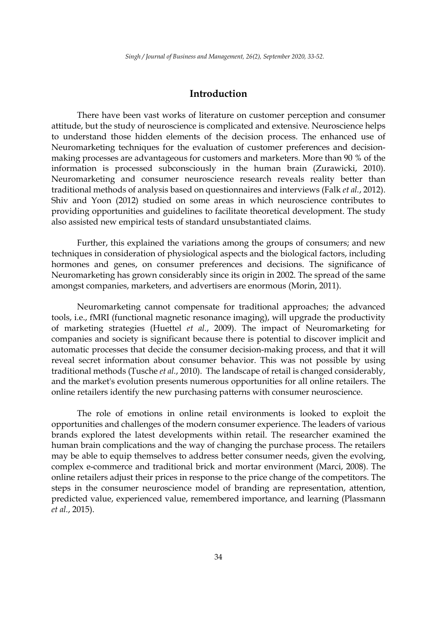# **Introduction**

There have been vast works of literature on customer perception and consumer attitude, but the study of neuroscience is complicated and extensive. Neuroscience helps to understand those hidden elements of the decision process. The enhanced use of Neuromarketing techniques for the evaluation of customer preferences and decisionmaking processes are advantageous for customers and marketers. More than 90 % of the information is processed subconsciously in the human brain (Zurawicki, 2010). Neuromarketing and consumer neuroscience research reveals reality better than traditional methods of analysis based on questionnaires and interviews (Falk *et al.*, 2012). Shiv and Yoon (2012) studied on some areas in which neuroscience contributes to providing opportunities and guidelines to facilitate theoretical development. The study also assisted new empirical tests of standard unsubstantiated claims.

Further, this explained the variations among the groups of consumers; and new techniques in consideration of physiological aspects and the biological factors, including hormones and genes, on consumer preferences and decisions. The significance of Neuromarketing has grown considerably since its origin in 2002. The spread of the same amongst companies, marketers, and advertisers are enormous (Morin, 2011).

Neuromarketing cannot compensate for traditional approaches; the advanced tools, i.e., fMRI (functional magnetic resonance imaging), will upgrade the productivity of marketing strategies (Huettel *et al.*, 2009). The impact of Neuromarketing for companies and society is significant because there is potential to discover implicit and automatic processes that decide the consumer decision-making process, and that it will reveal secret information about consumer behavior. This was not possible by using traditional methods (Tusche *et al.*, 2010). The landscape of retail is changed considerably, and the market's evolution presents numerous opportunities for all online retailers. The online retailers identify the new purchasing patterns with consumer neuroscience.

The role of emotions in online retail environments is looked to exploit the opportunities and challenges of the modern consumer experience. The leaders of various brands explored the latest developments within retail. The researcher examined the human brain complications and the way of changing the purchase process. The retailers may be able to equip themselves to address better consumer needs, given the evolving, complex e-commerce and traditional brick and mortar environment (Marci, 2008). The online retailers adjust their prices in response to the price change of the competitors. The steps in the consumer neuroscience model of branding are representation, attention, predicted value, experienced value, remembered importance, and learning (Plassmann *et al.*, 2015).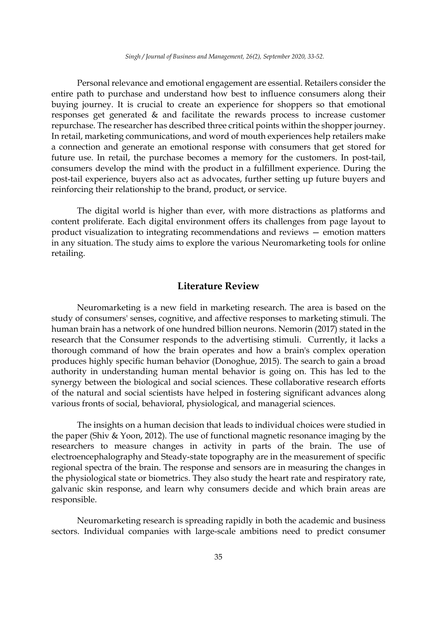Personal relevance and emotional engagement are essential. Retailers consider the entire path to purchase and understand how best to influence consumers along their buying journey. It is crucial to create an experience for shoppers so that emotional responses get generated & and facilitate the rewards process to increase customer repurchase. The researcher has described three critical points within the shopper journey. In retail, marketing communications, and word of mouth experiences help retailers make a connection and generate an emotional response with consumers that get stored for future use. In retail, the purchase becomes a memory for the customers. In post-tail, consumers develop the mind with the product in a fulfillment experience. During the post-tail experience, buyers also act as advocates, further setting up future buyers and reinforcing their relationship to the brand, product, or service.

The digital world is higher than ever, with more distractions as platforms and content proliferate. Each digital environment offers its challenges from page layout to product visualization to integrating recommendations and reviews — emotion matters in any situation. The study aims to explore the various Neuromarketing tools for online retailing.

# **Literature Review**

Neuromarketing is a new field in marketing research. The area is based on the study of consumers' senses, cognitive, and affective responses to marketing stimuli. The human brain has a network of one hundred billion neurons. Nemorin (2017) stated in the research that the Consumer responds to the advertising stimuli. Currently, it lacks a thorough command of how the brain operates and how a brain's complex operation produces highly specific human behavior (Donoghue, 2015). The search to gain a broad authority in understanding human mental behavior is going on. This has led to the synergy between the biological and social sciences. These collaborative research efforts of the natural and social scientists have helped in fostering significant advances along various fronts of social, behavioral, physiological, and managerial sciences.

The insights on a human decision that leads to individual choices were studied in the paper (Shiv & Yoon, 2012). The use of functional magnetic resonance imaging by the researchers to measure changes in activity in parts of the brain. The use of electroencephalography and Steady-state topography are in the measurement of specific regional spectra of the brain. The response and sensors are in measuring the changes in the physiological state or biometrics. They also study the heart rate and respiratory rate, galvanic skin response, and learn why consumers decide and which brain areas are responsible.

Neuromarketing research is spreading rapidly in both the academic and business sectors. Individual companies with large-scale ambitions need to predict consumer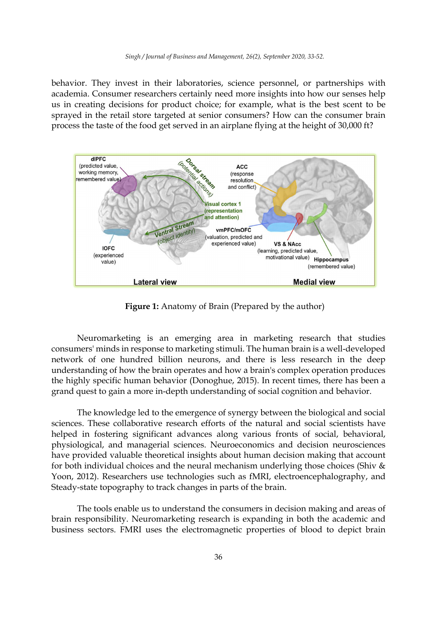behavior. They invest in their laboratories, science personnel, or partnerships with academia. Consumer researchers certainly need more insights into how our senses help us in creating decisions for product choice; for example, what is the best scent to be sprayed in the retail store targeted at senior consumers? How can the consumer brain process the taste of the food get served in an airplane flying at the height of 30,000 ft?



**Figure 1:** Anatomy of Brain (Prepared by the author)

Neuromarketing is an emerging area in marketing research that studies consumers' minds in response to marketing stimuli. The human brain is a well-developed network of one hundred billion neurons, and there is less research in the deep understanding of how the brain operates and how a brain's complex operation produces the highly specific human behavior (Donoghue, 2015). In recent times, there has been a grand quest to gain a more in-depth understanding of social cognition and behavior.

The knowledge led to the emergence of synergy between the biological and social sciences. These collaborative research efforts of the natural and social scientists have helped in fostering significant advances along various fronts of social, behavioral, physiological, and managerial sciences. Neuroeconomics and decision neurosciences have provided valuable theoretical insights about human decision making that account for both individual choices and the neural mechanism underlying those choices (Shiv & Yoon, 2012). Researchers use technologies such as fMRI, electroencephalography, and Steady-state topography to track changes in parts of the brain.

The tools enable us to understand the consumers in decision making and areas of brain responsibility. Neuromarketing research is expanding in both the academic and business sectors. FMRI uses the electromagnetic properties of blood to depict brain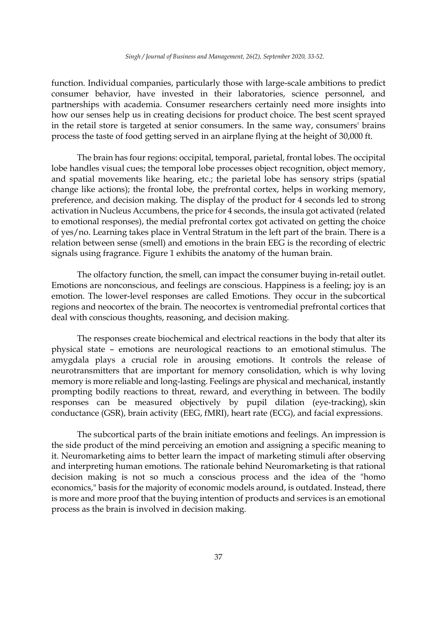function. Individual companies, particularly those with large-scale ambitions to predict consumer behavior, have invested in their laboratories, science personnel, and partnerships with academia. Consumer researchers certainly need more insights into how our senses help us in creating decisions for product choice. The best scent sprayed in the retail store is targeted at senior consumers. In the same way, consumers' brains process the taste of food getting served in an airplane flying at the height of 30,000 ft.

The brain has four regions: occipital, temporal, parietal, frontal lobes. The occipital lobe handles visual cues; the temporal lobe processes object recognition, object memory, and spatial movements like hearing, etc.; the parietal lobe has sensory strips (spatial change like actions); the frontal lobe, the prefrontal cortex, helps in working memory, preference, and decision making. The display of the product for 4 seconds led to strong activation in Nucleus Accumbens, the price for 4 seconds, the insula got activated (related to emotional responses), the medial prefrontal cortex got activated on getting the choice of yes/no. Learning takes place in Ventral Stratum in the left part of the brain. There is a relation between sense (smell) and emotions in the brain EEG is the recording of electric signals using fragrance. Figure 1 exhibits the anatomy of the human brain.

The olfactory function, the smell, can impact the consumer buying in-retail outlet. Emotions are nonconscious, and feelings are conscious. Happiness is a feeling; joy is an emotion. The lower-level responses are called Emotions. They occur in the subcortical regions and neocortex of the brain. The neocortex is ventromedial prefrontal cortices that deal with conscious thoughts, reasoning, and decision making.

The responses create biochemical and electrical reactions in the body that alter its physical state – emotions are neurological reactions to an emotional stimulus. The amygdala plays a crucial role in arousing emotions. It controls the release of neurotransmitters that are important for memory consolidation, which is why loving memory is more reliable and long-lasting. Feelings are physical and mechanical, instantly prompting bodily reactions to threat, reward, and everything in between. The bodily responses can be measured objectively by pupil dilation (eye-tracking), skin conductance (GSR), brain activity (EEG, fMRI), heart rate (ECG), and facial expressions.

The subcortical parts of the brain initiate emotions and feelings. An impression is the side product of the mind perceiving an emotion and assigning a specific meaning to it. Neuromarketing aims to better learn the impact of marketing stimuli after observing and interpreting human emotions. The rationale behind Neuromarketing is that rational decision making is not so much a conscious process and the idea of the "homo economics," basis for the majority of economic models around, is outdated. Instead, there is more and more proof that the buying intention of products and services is an emotional process as the brain is involved in decision making.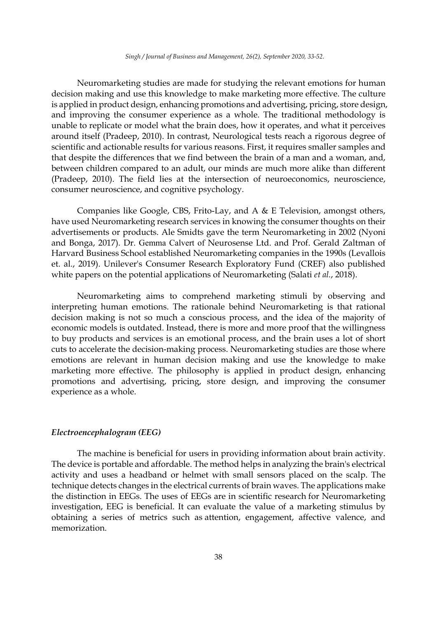Neuromarketing studies are made for studying the relevant emotions for human decision making and use this knowledge to make marketing more effective. The culture is applied in product design, enhancing promotions and advertising, pricing, store design, and improving the consumer experience as a whole. The traditional methodology is unable to replicate or model what the brain does, how it operates, and what it perceives around itself (Pradeep, 2010). In contrast, Neurological tests reach a rigorous degree of scientific and actionable results for various reasons. First, it requires smaller samples and that despite the differences that we find between the brain of a man and a woman, and, between children compared to an adult, our minds are much more alike than different (Pradeep, 2010). The field lies at the intersection of neuroeconomics, neuroscience, consumer neuroscience, and cognitive psychology.

Companies like Google, CBS, Frito-Lay, and A & E Television, amongst others, have used Neuromarketing research services in knowing the consumer thoughts on their advertisements or products. Ale Smidts gave the term Neuromarketing in 2002 (Nyoni and Bonga, 2017). Dr. Gemma Calvert of Neurosense Ltd. and Prof. Gerald Zaltman of Harvard Business School established Neuromarketing companies in the 1990s (Levallois et. al., 2019). Unilever's Consumer Research Exploratory Fund (CREF) also published white papers on the potential applications of Neuromarketing (Salati *et al.*, 2018).

Neuromarketing aims to comprehend marketing stimuli by observing and interpreting human emotions. The rationale behind Neuromarketing is that rational decision making is not so much a conscious process, and the idea of the majority of economic models is outdated. Instead, there is more and more proof that the willingness to buy products and services is an emotional process, and the brain uses a lot of short cuts to accelerate the decision-making process. Neuromarketing studies are those where emotions are relevant in human decision making and use the knowledge to make marketing more effective. The philosophy is applied in product design, enhancing promotions and advertising, pricing, store design, and improving the consumer experience as a whole.

#### *Electroencephalogram (EEG)*

The machine is beneficial for users in providing information about brain activity. The device is portable and affordable. The method helps in analyzing the brain's electrical activity and uses a headband or helmet with small sensors placed on the scalp. The technique detects changes in the electrical currents of brain waves. The applications make the distinction in EEGs. The uses of EEGs are in scientific research for Neuromarketing investigation, EEG is beneficial. It can evaluate the value of a marketing stimulus by obtaining a series of metrics such as attention, engagement, affective valence, and memorization.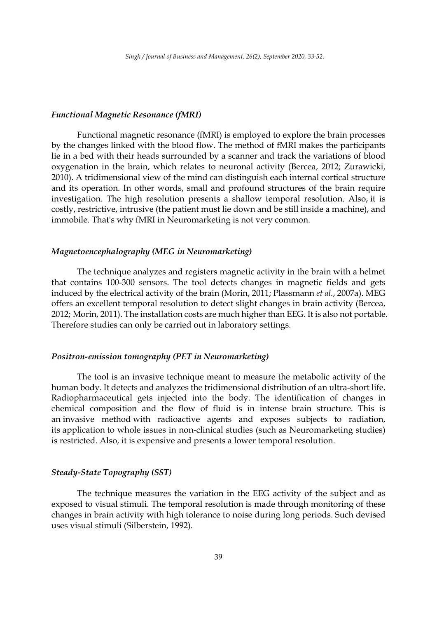#### *Functional Magnetic Resonance (fMRI)*

Functional magnetic resonance (fMRI) is employed to explore the brain processes by the changes linked with the blood flow. The method of fMRI makes the participants lie in a bed with their heads surrounded by a scanner and track the variations of blood oxygenation in the brain, which relates to neuronal activity (Bercea, 2012; Zurawicki, 2010). A tridimensional view of the mind can distinguish each internal cortical structure and its operation. In other words, small and profound structures of the brain require investigation. The high resolution presents a shallow temporal resolution. Also, it is costly, restrictive, intrusive (the patient must lie down and be still inside a machine), and immobile. That's why fMRI in Neuromarketing is not very common.

#### *Magnetoencephalography (MEG in Neuromarketing)*

The technique analyzes and registers magnetic activity in the brain with a helmet that contains 100-300 sensors. The tool detects changes in magnetic fields and gets induced by the electrical activity of the brain (Morin, 2011; Plassmann *et al.*, 2007a). MEG offers an excellent temporal resolution to detect slight changes in brain activity (Bercea, 2012; Morin, 2011). The installation costs are much higher than EEG. It is also not portable. Therefore studies can only be carried out in laboratory settings.

# *Positron-emission tomography (PET in Neuromarketing)*

The tool is an invasive technique meant to measure the metabolic activity of the human body. It detects and analyzes the tridimensional distribution of an ultra-short life. Radiopharmaceutical gets injected into the body. The identification of changes in chemical composition and the flow of fluid is in intense brain structure. This is an invasive method with radioactive agents and exposes subjects to radiation, its application to whole issues in non-clinical studies (such as Neuromarketing studies) is restricted. Also, it is expensive and presents a lower temporal resolution.

### *Steady-State Topography (SST)*

The technique measures the variation in the EEG activity of the subject and as exposed to visual stimuli. The temporal resolution is made through monitoring of these changes in brain activity with high tolerance to noise during long periods. Such devised uses visual stimuli (Silberstein, 1992).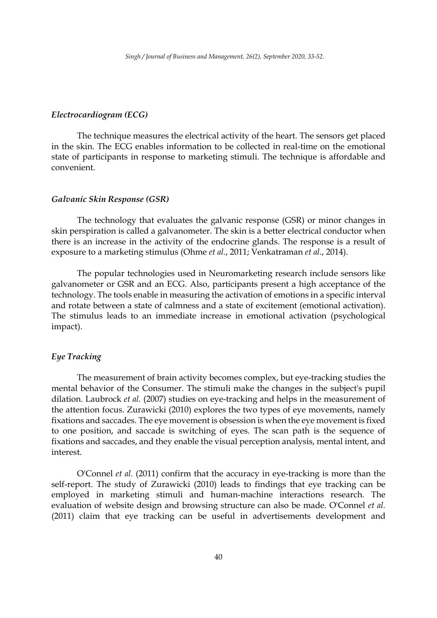### *Electrocardiogram (ECG)*

The technique measures the electrical activity of the heart. The sensors get placed in the skin. The ECG enables information to be collected in real-time on the emotional state of participants in response to marketing stimuli. The technique is affordable and convenient.

### *Galvanic Skin Response (GSR)*

The technology that evaluates the galvanic response (GSR) or minor changes in skin perspiration is called a galvanometer. The skin is a better electrical conductor when there is an increase in the activity of the endocrine glands. The response is a result of exposure to a marketing stimulus (Ohme *et al.*, 2011; Venkatraman *et al.*, 2014).

The popular technologies used in Neuromarketing research include sensors like galvanometer or GSR and an ECG. Also, participants present a high acceptance of the technology. The tools enable in measuring the activation of emotions in a specific interval and rotate between a state of calmness and a state of excitement (emotional activation). The stimulus leads to an immediate increase in emotional activation (psychological impact).

# *Eye Tracking*

The measurement of brain activity becomes complex, but eye-tracking studies the mental behavior of the Consumer. The stimuli make the changes in the subject's pupil dilation. Laubrock *et al.* (2007) studies on eye-tracking and helps in the measurement of the attention focus. Zurawicki (2010) explores the two types of eye movements, namely fixations and saccades. The eye movement is obsession is when the eye movement is fixed to one position, and saccade is switching of eyes. The scan path is the sequence of fixations and saccades, and they enable the visual perception analysis, mental intent, and interest.

O'Connel *et al.* (2011) confirm that the accuracy in eye-tracking is more than the self-report. The study of Zurawicki (2010) leads to findings that eye tracking can be employed in marketing stimuli and human-machine interactions research. The evaluation of website design and browsing structure can also be made. O'Connel *et al.* (2011) claim that eye tracking can be useful in advertisements development and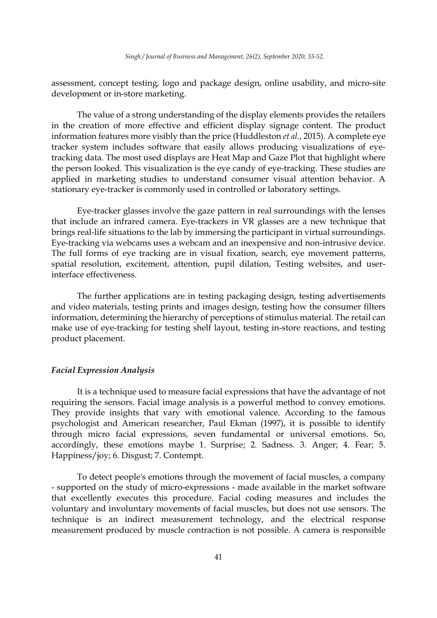assessment, concept testing, logo and package design, online usability, and micro-site development or in-store marketing.

The value of a strong understanding of the display elements provides the retailers in the creation of more effective and efficient display signage content. The product information features more visibly than the price (Huddleston *et al.*, 2015). A complete eye tracker system includes software that easily allows producing visualizations of eyetracking data. The most used displays are Heat Map and Gaze Plot that highlight where the person looked. This visualization is the eye candy of eye-tracking. These studies are applied in marketing studies to understand consumer visual attention behavior. A stationary eye-tracker is commonly used in controlled or laboratory settings.

Eye-tracker glasses involve the gaze pattern in real surroundings with the lenses that include an infrared camera. Eye-trackers in VR glasses are a new technique that brings real-life situations to the lab by immersing the participant in virtual surroundings. Eye-tracking via webcams uses a webcam and an inexpensive and non-intrusive device. The full forms of eye tracking are in visual fixation, search, eye movement patterns, spatial resolution, excitement, attention, pupil dilation, Testing websites, and userinterface effectiveness.

The further applications are in testing packaging design, testing advertisements and video materials, testing prints and images design, testing how the consumer filters information, determining the hierarchy of perceptions of stimulus material. The retail can make use of eye-tracking for testing shelf layout, testing in-store reactions, and testing product placement.

### *Facial Expression Analysis*

It is a technique used to measure facial expressions that have the advantage of not requiring the sensors. Facial image analysis is a powerful method to convey emotions. They provide insights that vary with emotional valence. According to the famous psychologist and American researcher, Paul Ekman (1997), it is possible to identify through micro facial expressions, seven fundamental or universal emotions. So, accordingly, these emotions maybe 1. Surprise; 2. Sadness. 3. Anger; 4. Fear; 5. Happiness/joy; 6. Disgust; 7. Contempt.

To detect people's emotions through the movement of facial muscles, a company - supported on the study of micro-expressions - made available in the market software that excellently executes this procedure. Facial coding measures and includes the voluntary and involuntary movements of facial muscles, but does not use sensors. The technique is an indirect measurement technology, and the electrical response measurement produced by muscle contraction is not possible. A camera is responsible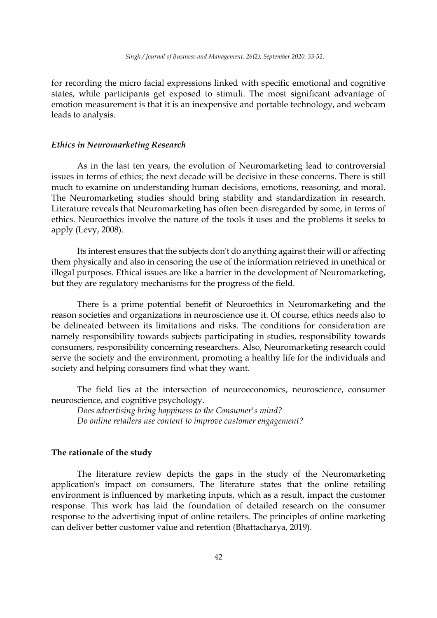for recording the micro facial expressions linked with specific emotional and cognitive states, while participants get exposed to stimuli. The most significant advantage of emotion measurement is that it is an inexpensive and portable technology, and webcam leads to analysis.

### *Ethics in Neuromarketing Research*

As in the last ten years, the evolution of Neuromarketing lead to controversial issues in terms of ethics; the next decade will be decisive in these concerns. There is still much to examine on understanding human decisions, emotions, reasoning, and moral. The Neuromarketing studies should bring stability and standardization in research. Literature reveals that Neuromarketing has often been disregarded by some, in terms of ethics. Neuroethics involve the nature of the tools it uses and the problems it seeks to apply (Levy, 2008).

Its interest ensures that the subjects don't do anything against their will or affecting them physically and also in censoring the use of the information retrieved in unethical or illegal purposes. Ethical issues are like a barrier in the development of Neuromarketing, but they are regulatory mechanisms for the progress of the field.

There is a prime potential benefit of Neuroethics in Neuromarketing and the reason societies and organizations in neuroscience use it. Of course, ethics needs also to be delineated between its limitations and risks. The conditions for consideration are namely responsibility towards subjects participating in studies, responsibility towards consumers, responsibility concerning researchers. Also, Neuromarketing research could serve the society and the environment, promoting a healthy life for the individuals and society and helping consumers find what they want.

The field lies at the intersection of neuroeconomics, neuroscience, consumer neuroscience, and cognitive psychology.

*Does advertising bring happiness to the Consumer's mind? Do online retailers use content to improve customer engagement?* 

### **The rationale of the study**

The literature review depicts the gaps in the study of the Neuromarketing application's impact on consumers. The literature states that the online retailing environment is influenced by marketing inputs, which as a result, impact the customer response. This work has laid the foundation of detailed research on the consumer response to the advertising input of online retailers. The principles of online marketing can deliver better customer value and retention (Bhattacharya, 2019).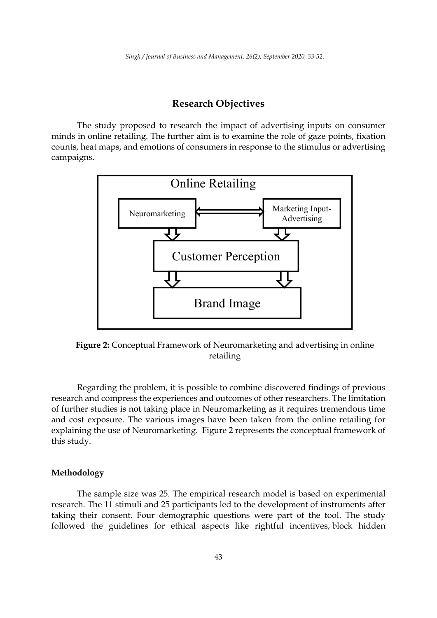# **Research Objectives**

The study proposed to research the impact of advertising inputs on consumer minds in online retailing. The further aim is to examine the role of gaze points, fixation counts, heat maps, and emotions of consumers in response to the stimulus or advertising campaigns.



**Figure 2:** Conceptual Framework of Neuromarketing and advertising in online retailing

Regarding the problem, it is possible to combine discovered findings of previous research and compress the experiences and outcomes of other researchers. The limitation of further studies is not taking place in Neuromarketing as it requires tremendous time and cost exposure. The various images have been taken from the online retailing for explaining the use of Neuromarketing. Figure 2 represents the conceptual framework of this study.

# **Methodology**

The sample size was 25. The empirical research model is based on experimental research. The 11 stimuli and 25 participants led to the development of instruments after taking their consent. Four demographic questions were part of the tool. The study followed the guidelines for ethical aspects like rightful incentives, block hidden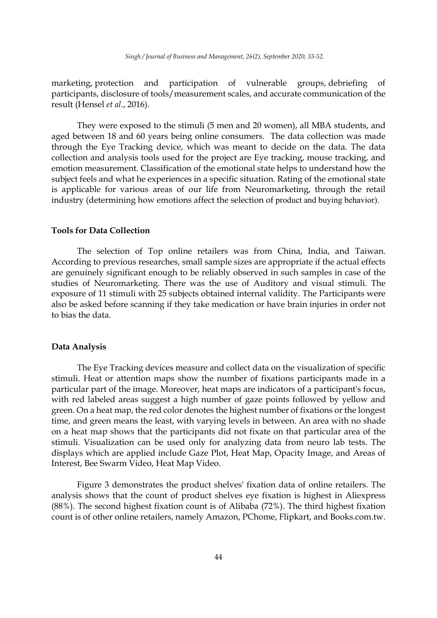marketing, protection and participation of vulnerable groups, debriefing of participants, disclosure of tools/measurement scales, and accurate communication of the result (Hensel *et al.*, 2016).

They were exposed to the stimuli (5 men and 20 women), all MBA students, and aged between 18 and 60 years being online consumers. The data collection was made through the Eye Tracking device, which was meant to decide on the data. The data collection and analysis tools used for the project are Eye tracking, mouse tracking, and emotion measurement. Classification of the emotional state helps to understand how the subject feels and what he experiences in a specific situation. Rating of the emotional state is applicable for various areas of our life from Neuromarketing, through the retail industry (determining how emotions affect the selection of product and buying behavior).

### **Tools for Data Collection**

The selection of Top online retailers was from China, India, and Taiwan. According to previous researches, small sample sizes are appropriate if the actual effects are genuinely significant enough to be reliably observed in such samples in case of the studies of Neuromarketing. There was the use of Auditory and visual stimuli. The exposure of 11 stimuli with 25 subjects obtained internal validity. The Participants were also be asked before scanning if they take medication or have brain injuries in order not to bias the data.

#### **Data Analysis**

The Eye Tracking devices measure and collect data on the visualization of specific stimuli. Heat or attention maps show the number of fixations participants made in a particular part of the image. Moreover, heat maps are indicators of a participant's focus, with red labeled areas suggest a high number of gaze points followed by yellow and green. On a heat map, the red color denotes the highest number of fixations or the longest time, and green means the least, with varying levels in between. An area with no shade on a heat map shows that the participants did not fixate on that particular area of the stimuli. Visualization can be used only for analyzing data from neuro lab tests. The displays which are applied include Gaze Plot, Heat Map, Opacity Image, and Areas of Interest, Bee Swarm Video, Heat Map Video.

Figure 3 demonstrates the product shelves' fixation data of online retailers. The analysis shows that the count of product shelves eye fixation is highest in Aliexpress (88%). The second highest fixation count is of Alibaba (72%). The third highest fixation count is of other online retailers, namely Amazon, PChome, Flipkart, and Books.com.tw.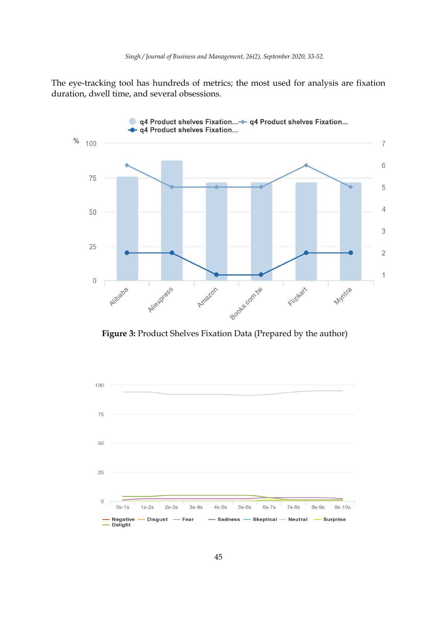The eye-tracking tool has hundreds of metrics; the most used for analysis are fixation duration, dwell time, and several obsessions.



**Figure 3:** Product Shelves Fixation Data (Prepared by the author)

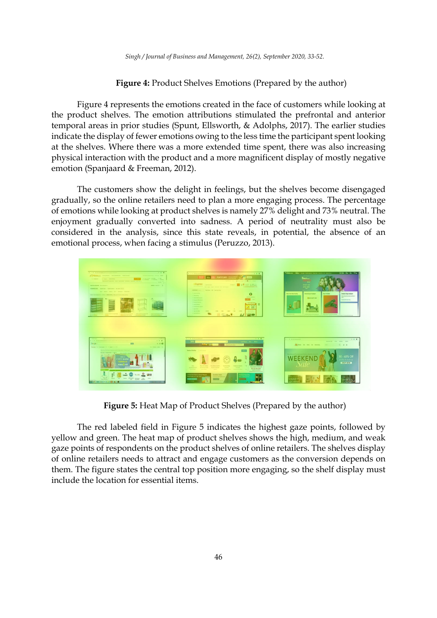*Singh / Journal of Business and Management, 26(2), September 2020, 33-52.* 

# **Figure 4:** Product Shelves Emotions (Prepared by the author)

Figure 4 represents the emotions created in the face of customers while looking at the product shelves. The emotion attributions stimulated the prefrontal and anterior temporal areas in prior studies (Spunt, Ellsworth, & Adolphs, 2017). The earlier studies indicate the display of fewer emotions owing to the less time the participant spent looking at the shelves. Where there was a more extended time spent, there was also increasing physical interaction with the product and a more magnificent display of mostly negative emotion (Spanjaard & Freeman, 2012).

The customers show the delight in feelings, but the shelves become disengaged gradually, so the online retailers need to plan a more engaging process. The percentage of emotions while looking at product shelves is namely 27% delight and 73% neutral. The enjoyment gradually converted into sadness. A period of neutrality must also be considered in the analysis, since this state reveals, in potential, the absence of an emotional process, when facing a stimulus (Peruzzo, 2013).



**Figure 5:** Heat Map of Product Shelves (Prepared by the author)

The red labeled field in Figure 5 indicates the highest gaze points, followed by yellow and green. The heat map of product shelves shows the high, medium, and weak gaze points of respondents on the product shelves of online retailers. The shelves display of online retailers needs to attract and engage customers as the conversion depends on them. The figure states the central top position more engaging, so the shelf display must include the location for essential items.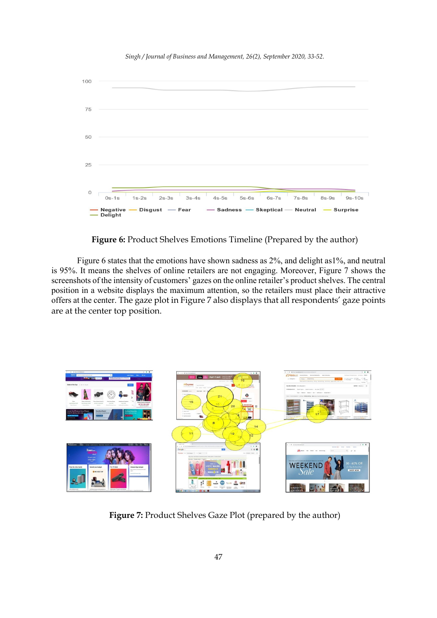*Singh / Journal of Business and Management, 26(2), September 2020, 33-52.* 



**Figure 6:** Product Shelves Emotions Timeline (Prepared by the author)

Figure 6 states that the emotions have shown sadness as 2%, and delight as1%, and neutral is 95%. It means the shelves of online retailers are not engaging. Moreover, Figure 7 shows the screenshots of the intensity of customers' gazes on the online retailer's product shelves. The central position in a website displays the maximum attention, so the retailers must place their attractive offers at the center. The gaze plot in Figure 7 also displays that all respondents' gaze points are at the center top position.



**Figure 7:** Product Shelves Gaze Plot (prepared by the author)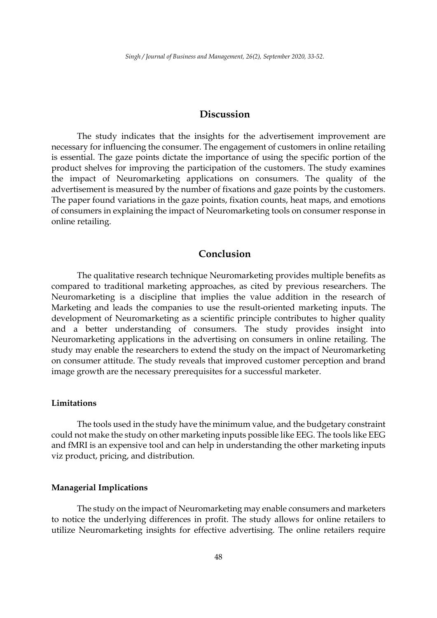# **Discussion**

The study indicates that the insights for the advertisement improvement are necessary for influencing the consumer. The engagement of customers in online retailing is essential. The gaze points dictate the importance of using the specific portion of the product shelves for improving the participation of the customers. The study examines the impact of Neuromarketing applications on consumers. The quality of the advertisement is measured by the number of fixations and gaze points by the customers. The paper found variations in the gaze points, fixation counts, heat maps, and emotions of consumers in explaining the impact of Neuromarketing tools on consumer response in online retailing.

# **Conclusion**

The qualitative research technique Neuromarketing provides multiple benefits as compared to traditional marketing approaches, as cited by previous researchers. The Neuromarketing is a discipline that implies the value addition in the research of Marketing and leads the companies to use the result-oriented marketing inputs. The development of Neuromarketing as a scientific principle contributes to higher quality and a better understanding of consumers. The study provides insight into Neuromarketing applications in the advertising on consumers in online retailing. The study may enable the researchers to extend the study on the impact of Neuromarketing on consumer attitude. The study reveals that improved customer perception and brand image growth are the necessary prerequisites for a successful marketer.

#### **Limitations**

The tools used in the study have the minimum value, and the budgetary constraint could not make the study on other marketing inputs possible like EEG. The tools like EEG and fMRI is an expensive tool and can help in understanding the other marketing inputs viz product, pricing, and distribution.

### **Managerial Implications**

The study on the impact of Neuromarketing may enable consumers and marketers to notice the underlying differences in profit. The study allows for online retailers to utilize Neuromarketing insights for effective advertising. The online retailers require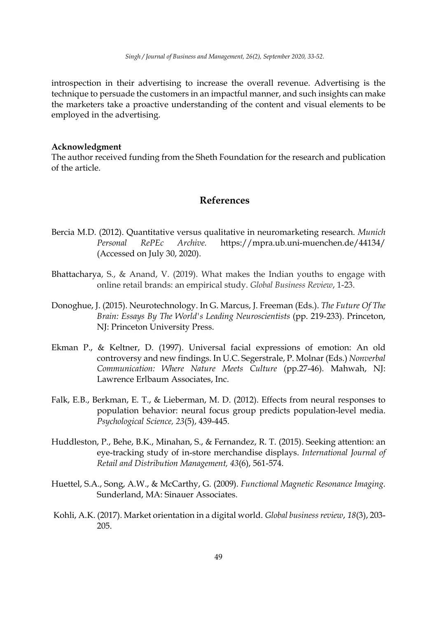introspection in their advertising to increase the overall revenue. Advertising is the technique to persuade the customers in an impactful manner, and such insights can make the marketers take a proactive understanding of the content and visual elements to be employed in the advertising.

### **Acknowledgment**

The author received funding from the Sheth Foundation for the research and publication of the article.

# **References**

- Bercia M.D. (2012). Quantitative versus qualitative in neuromarketing research. *Munich Personal RePEc Archive.* https://mpra.ub.uni-muenchen.de/44134/ (Accessed on July 30, 2020).
- Bhattacharya, S., & Anand, V. (2019). What makes the Indian youths to engage with online retail brands: an empirical study. *Global Business Review*, 1-23.
- Donoghue, J. (2015). Neurotechnology. In G. Marcus, J. Freeman (Eds.). *The Future Of The Brain: Essays By The World's Leading Neuroscientists* (pp. 219-233). Princeton, NJ: Princeton University Press.
- Ekman P., & Keltner, D. (1997). Universal facial expressions of emotion: An old controversy and new findings. In U.C. Segerstrale, P. Molnar (Eds.) *Nonverbal Communication: Where Nature Meets Culture* (pp.27-46). Mahwah, NJ: Lawrence Erlbaum Associates, Inc.
- Falk, E.B., Berkman, E. T., & Lieberman, M. D. (2012). Effects from neural responses to population behavior: neural focus group predicts population-level media. *Psychological Science, 23*(5), 439-445.
- Huddleston, P., Behe, B.K., Minahan, S., & Fernandez, R. T. (2015). Seeking attention: an eye-tracking study of in-store merchandise displays. *International Journal of Retail and Distribution Management, 43*(6), 561-574.
- Huettel, S.A., Song, A.W., & McCarthy, G. (2009). *Functional Magnetic Resonance Imaging*. Sunderland, MA: Sinauer Associates.
- Kohli, A.K. (2017). Market orientation in a digital world. *Global business review*, *18*(3), 203- 205.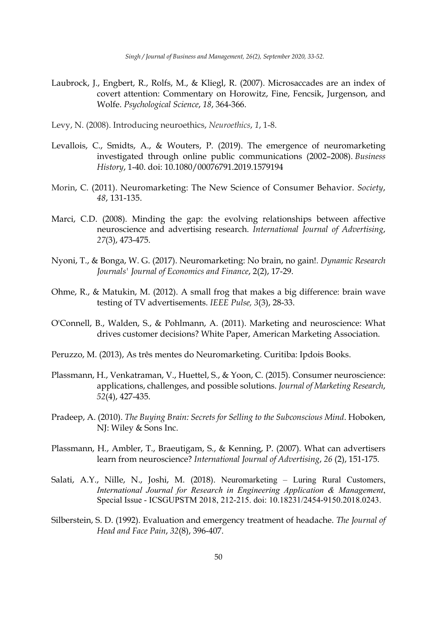- Laubrock, J., Engbert, R., Rolfs, M., & Kliegl, R. (2007). Microsaccades are an index of covert attention: Commentary on Horowitz, Fine, Fencsik, Jurgenson, and Wolfe. *Psychological Science*, *18*, 364-366.
- Levy, N. (2008). Introducing neuroethics, *Neuroethics*, *1*, 1-8.
- Levallois, C., Smidts, A., & Wouters, P. (2019). The emergence of neuromarketing investigated through online public communications (2002–2008). *Business History*, 1-40. doi: 10.1080/00076791.2019.1579194
- Morin, C. (2011). Neuromarketing: The New Science of Consumer Behavior. *Society*, *48*, 131-135.
- Marci, C.D. (2008). Minding the gap: the evolving relationships between affective neuroscience and advertising research. *International Journal of Advertising*, *27*(3), 473-475.
- Nyoni, T., & Bonga, W. G. (2017). Neuromarketing: No brain, no gain!. *Dynamic Research Journals' Journal of Economics and Finance*, 2(2), 17-29.
- Ohme, R., & Matukin, M. (2012). A small frog that makes a big difference: brain wave testing of TV advertisements. *IEEE Pulse, 3*(3), 28-33.
- O'Connell, B., Walden, S., & Pohlmann, A. (2011). Marketing and neuroscience: What drives customer decisions? White Paper, American Marketing Association.
- Peruzzo, M. (2013), As três mentes do Neuromarketing. Curitiba: Ipdois Books.
- Plassmann, H., Venkatraman, V., Huettel, S., & Yoon, C. (2015). Consumer neuroscience: applications, challenges, and possible solutions. *Journal of Marketing Research*, *52*(4), 427-435.
- Pradeep, A. (2010). *The Buying Brain: Secrets for Selling to the Subconscious Mind*. Hoboken, NJ: Wiley & Sons Inc.
- Plassmann, H., Ambler, T., Braeutigam, S., & Kenning, P. (2007). What can advertisers learn from neuroscience? *International Journal of Advertising*, *26* (2), 151-175.
- Salati, A.Y., Nille, N., Joshi, M. (2018). Neuromarketing Luring Rural Customers, *International Journal for Research in Engineering Application & Management*, Special Issue - ICSGUPSTM 2018, 212-215. doi: 10.18231/2454-9150.2018.0243.
- Silberstein, S. D. (1992). Evaluation and emergency treatment of headache. *The Journal of Head and Face Pain*, *32*(8), 396-407.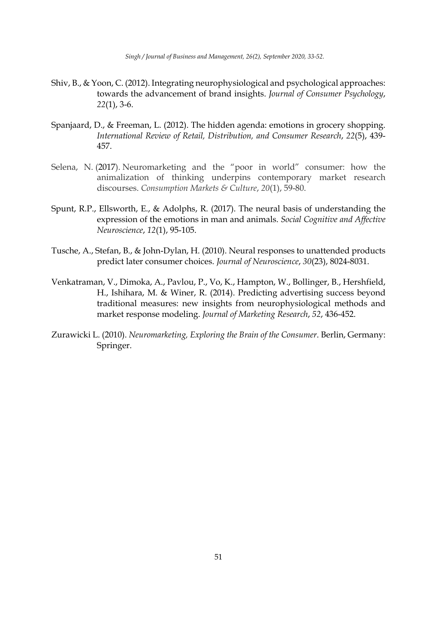*Singh / Journal of Business and Management, 26(2), September 2020, 33-52.* 

- Shiv, B., & Yoon, C. (2012). Integrating neurophysiological and psychological approaches: towards the advancement of brand insights. *Journal of Consumer Psychology*, *22*(1), 3-6.
- Spanjaard, D., & Freeman, L. (2012). The hidden agenda: emotions in grocery shopping. *International Review of Retail, Distribution, and Consumer Research*, *22*(5), 439- 457.
- Selena, N. (2017). Neuromarketing and the "poor in world" consumer: how the animalization of thinking underpins contemporary market research discourses. *Consumption Markets & Culture*, *20*(1), 59-80.
- Spunt, R.P., Ellsworth, E., & Adolphs, R. (2017). The neural basis of understanding the expression of the emotions in man and animals. *Social Cognitive and Affective Neuroscience*, *12*(1), 95-105.
- Tusche, A., Stefan, B., & John-Dylan, H. (2010). Neural responses to unattended products predict later consumer choices. *Journal of Neuroscience*, *30*(23), 8024-8031.
- Venkatraman, V., Dimoka, A., Pavlou, P., Vo, K., Hampton, W., Bollinger, B., Hershfield, H., Ishihara, M. & Winer, R. (2014). Predicting advertising success beyond traditional measures: new insights from neurophysiological methods and market response modeling. *Journal of Marketing Research*, *52*, 436-452.
- Zurawicki L. (2010). *Neuromarketing, Exploring the Brain of the Consumer*. Berlin, Germany: Springer.